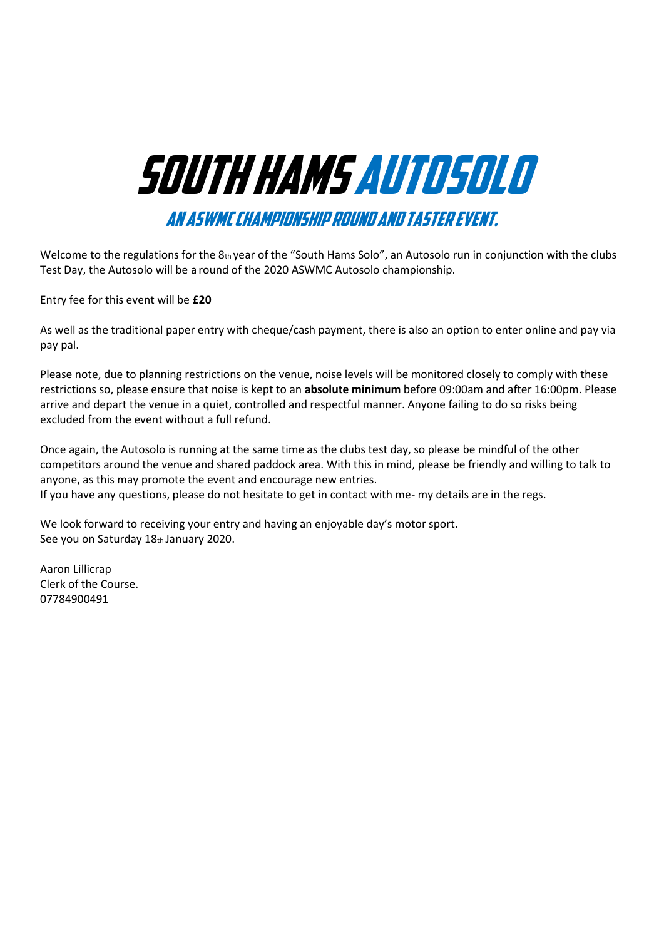# South Hams AutoSolo

An ASWMC championship round and Taster event.

Welcome to the regulations for the 8th year of the "South Hams Solo", an Autosolo run in conjunction with the clubs Test Day, the Autosolo will be a round of the 2020 ASWMC Autosolo championship.

Entry fee for this event will be **£20**

As well as the traditional paper entry with cheque/cash payment, there is also an option to enter online and pay via pay pal.

Please note, due to planning restrictions on the venue, noise levels will be monitored closely to comply with these restrictions so, please ensure that noise is kept to an **absolute minimum** before 09:00am and after 16:00pm. Please arrive and depart the venue in a quiet, controlled and respectful manner. Anyone failing to do so risks being excluded from the event without a full refund.

Once again, the Autosolo is running at the same time as the clubs test day, so please be mindful of the other competitors around the venue and shared paddock area. With this in mind, please be friendly and willing to talk to anyone, as this may promote the event and encourage new entries.

If you have any questions, please do not hesitate to get in contact with me- my details are in the regs.

We look forward to receiving your entry and having an enjoyable day's motor sport. See you on Saturday 18th January 2020.

Aaron Lillicrap Clerk of the Course. 07784900491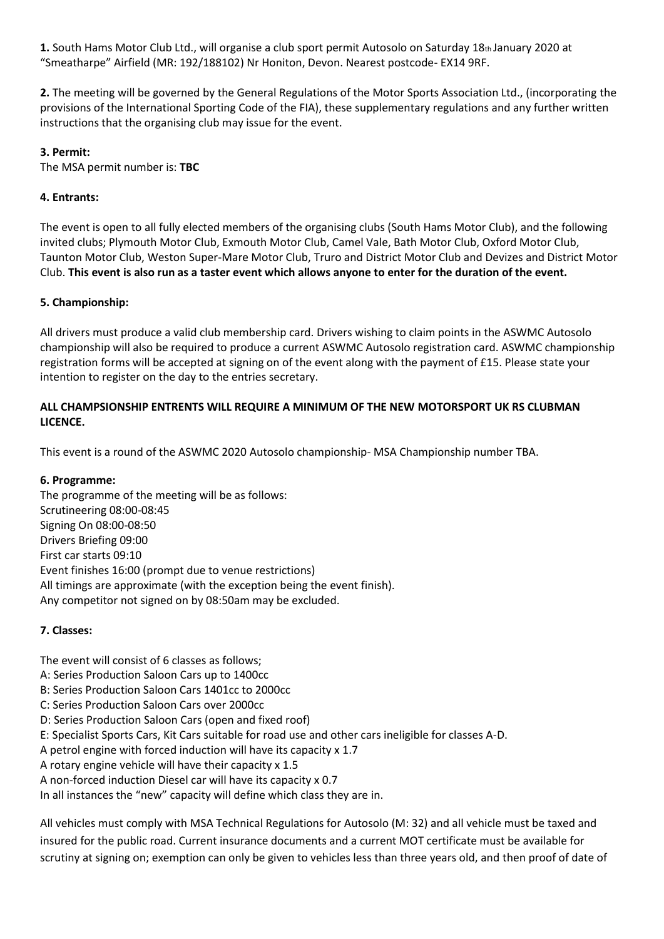**1.** South Hams Motor Club Ltd., will organise a club sport permit Autosolo on Saturday 18th January 2020 at "Smeatharpe" Airfield (MR: 192/188102) Nr Honiton, Devon. Nearest postcode- EX14 9RF.

**2.** The meeting will be governed by the General Regulations of the Motor Sports Association Ltd., (incorporating the provisions of the International Sporting Code of the FIA), these supplementary regulations and any further written instructions that the organising club may issue for the event.

## **3. Permit:**

The MSA permit number is: **TBC**

## **4. Entrants:**

The event is open to all fully elected members of the organising clubs (South Hams Motor Club), and the following invited clubs; Plymouth Motor Club, Exmouth Motor Club, Camel Vale, Bath Motor Club, Oxford Motor Club, Taunton Motor Club, Weston Super-Mare Motor Club, Truro and District Motor Club and Devizes and District Motor Club. **This event is also run as a taster event which allows anyone to enter for the duration of the event.** 

## **5. Championship:**

All drivers must produce a valid club membership card. Drivers wishing to claim points in the ASWMC Autosolo championship will also be required to produce a current ASWMC Autosolo registration card. ASWMC championship registration forms will be accepted at signing on of the event along with the payment of £15. Please state your intention to register on the day to the entries secretary.

## **ALL CHAMPSIONSHIP ENTRENTS WILL REQUIRE A MINIMUM OF THE NEW MOTORSPORT UK RS CLUBMAN LICENCE.**

This event is a round of the ASWMC 2020 Autosolo championship- MSA Championship number TBA.

## **6. Programme:**

The programme of the meeting will be as follows: Scrutineering 08:00-08:45 Signing On 08:00-08:50 Drivers Briefing 09:00 First car starts 09:10 Event finishes 16:00 (prompt due to venue restrictions) All timings are approximate (with the exception being the event finish). Any competitor not signed on by 08:50am may be excluded.

## **7. Classes:**

- The event will consist of 6 classes as follows;
- A: Series Production Saloon Cars up to 1400cc
- B: Series Production Saloon Cars 1401cc to 2000cc
- C: Series Production Saloon Cars over 2000cc
- D: Series Production Saloon Cars (open and fixed roof)
- E: Specialist Sports Cars, Kit Cars suitable for road use and other cars ineligible for classes A-D.
- A petrol engine with forced induction will have its capacity x 1.7
- A rotary engine vehicle will have their capacity x 1.5
- A non-forced induction Diesel car will have its capacity x 0.7
- In all instances the "new" capacity will define which class they are in.

All vehicles must comply with MSA Technical Regulations for Autosolo (M: 32) and all vehicle must be taxed and insured for the public road. Current insurance documents and a current MOT certificate must be available for scrutiny at signing on; exemption can only be given to vehicles less than three years old, and then proof of date of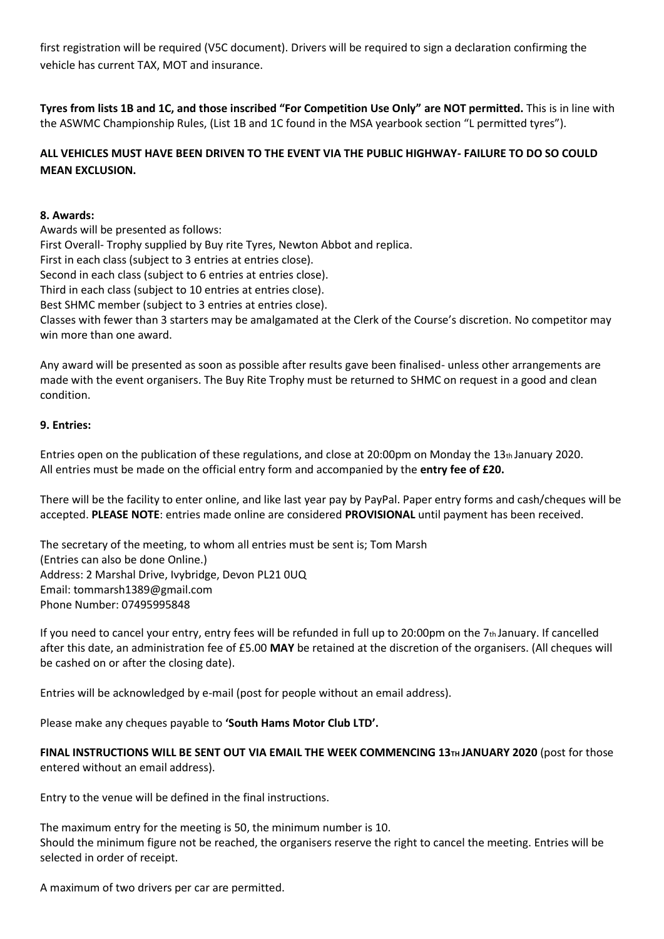first registration will be required (V5C document). Drivers will be required to sign a declaration confirming the vehicle has current TAX, MOT and insurance.

**Tyres from lists 1B and 1C, and those inscribed "For Competition Use Only" are NOT permitted.** This is in line with the ASWMC Championship Rules, (List 1B and 1C found in the MSA yearbook section "L permitted tyres").

# **ALL VEHICLES MUST HAVE BEEN DRIVEN TO THE EVENT VIA THE PUBLIC HIGHWAY- FAILURE TO DO SO COULD MEAN EXCLUSION.**

## **8. Awards:**

Awards will be presented as follows: First Overall- Trophy supplied by Buy rite Tyres, Newton Abbot and replica. First in each class (subject to 3 entries at entries close). Second in each class (subject to 6 entries at entries close). Third in each class (subject to 10 entries at entries close). Best SHMC member (subject to 3 entries at entries close). Classes with fewer than 3 starters may be amalgamated at the Clerk of the Course's discretion. No competitor may win more than one award.

Any award will be presented as soon as possible after results gave been finalised- unless other arrangements are made with the event organisers. The Buy Rite Trophy must be returned to SHMC on request in a good and clean condition.

## **9. Entries:**

Entries open on the publication of these regulations, and close at 20:00pm on Monday the 13th January 2020. All entries must be made on the official entry form and accompanied by the **entry fee of £20.** 

There will be the facility to enter online, and like last year pay by PayPal. Paper entry forms and cash/cheques will be accepted. **PLEASE NOTE**: entries made online are considered **PROVISIONAL** until payment has been received.

The secretary of the meeting, to whom all entries must be sent is; Tom Marsh (Entries can also be done Online.) Address: 2 Marshal Drive, Ivybridge, Devon PL21 0UQ Email: tommarsh1389@gmail.com Phone Number: 07495995848

If you need to cancel your entry, entry fees will be refunded in full up to 20:00pm on the  $7<sub>th</sub>$  January. If cancelled after this date, an administration fee of £5.00 **MAY** be retained at the discretion of the organisers. (All cheques will be cashed on or after the closing date).

Entries will be acknowledged by e-mail (post for people without an email address).

Please make any cheques payable to **'South Hams Motor Club LTD'.** 

**FINAL INSTRUCTIONS WILL BE SENT OUT VIA EMAIL THE WEEK COMMENCING 13TH JANUARY 2020** (post for those entered without an email address).

Entry to the venue will be defined in the final instructions.

The maximum entry for the meeting is 50, the minimum number is 10. Should the minimum figure not be reached, the organisers reserve the right to cancel the meeting. Entries will be selected in order of receipt.

A maximum of two drivers per car are permitted.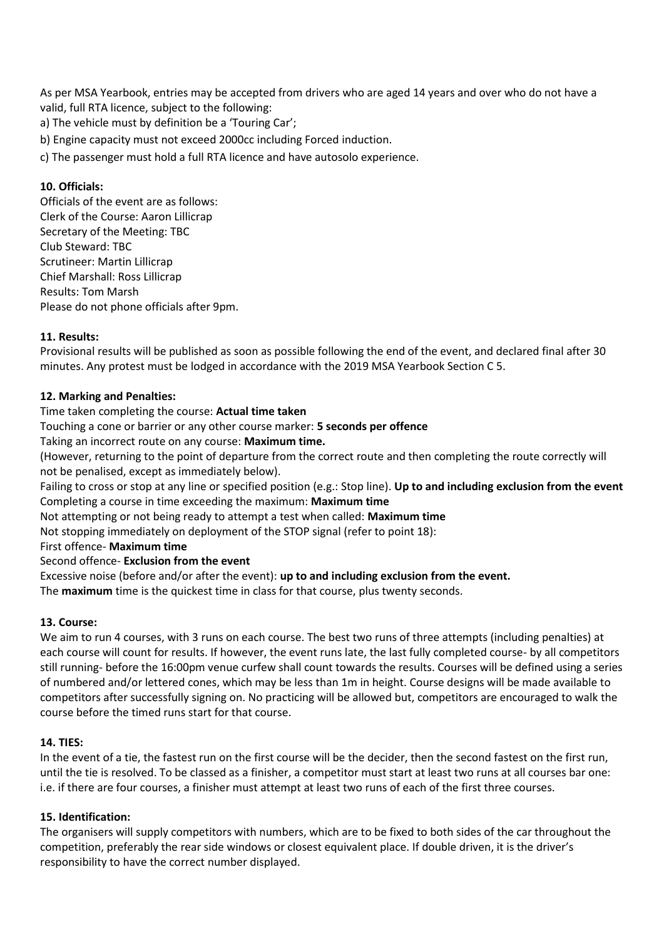As per MSA Yearbook, entries may be accepted from drivers who are aged 14 years and over who do not have a valid, full RTA licence, subject to the following:

a) The vehicle must by definition be a 'Touring Car';

b) Engine capacity must not exceed 2000cc including Forced induction.

c) The passenger must hold a full RTA licence and have autosolo experience.

## **10. Officials:**

Officials of the event are as follows: Clerk of the Course: Aaron Lillicrap Secretary of the Meeting: TBC Club Steward: TBC Scrutineer: Martin Lillicrap Chief Marshall: Ross Lillicrap Results: Tom Marsh Please do not phone officials after 9pm.

#### **11. Results:**

Provisional results will be published as soon as possible following the end of the event, and declared final after 30 minutes. Any protest must be lodged in accordance with the 2019 MSA Yearbook Section C 5.

#### **12. Marking and Penalties:**

## Time taken completing the course: **Actual time taken**

Touching a cone or barrier or any other course marker: **5 seconds per offence** 

Taking an incorrect route on any course: **Maximum time.** 

(However, returning to the point of departure from the correct route and then completing the route correctly will not be penalised, except as immediately below).

Failing to cross or stop at any line or specified position (e.g.: Stop line). **Up to and including exclusion from the event**  Completing a course in time exceeding the maximum: **Maximum time** 

Not attempting or not being ready to attempt a test when called: **Maximum time** 

Not stopping immediately on deployment of the STOP signal (refer to point 18):

First offence- **Maximum time** 

#### Second offence- **Exclusion from the event**

Excessive noise (before and/or after the event): **up to and including exclusion from the event.** 

The **maximum** time is the quickest time in class for that course, plus twenty seconds.

## **13. Course:**

We aim to run 4 courses, with 3 runs on each course. The best two runs of three attempts (including penalties) at each course will count for results. If however, the event runs late, the last fully completed course- by all competitors still running- before the 16:00pm venue curfew shall count towards the results. Courses will be defined using a series of numbered and/or lettered cones, which may be less than 1m in height. Course designs will be made available to competitors after successfully signing on. No practicing will be allowed but, competitors are encouraged to walk the course before the timed runs start for that course.

#### **14. TIES:**

In the event of a tie, the fastest run on the first course will be the decider, then the second fastest on the first run, until the tie is resolved. To be classed as a finisher, a competitor must start at least two runs at all courses bar one: i.e. if there are four courses, a finisher must attempt at least two runs of each of the first three courses.

#### **15. Identification:**

The organisers will supply competitors with numbers, which are to be fixed to both sides of the car throughout the competition, preferably the rear side windows or closest equivalent place. If double driven, it is the driver's responsibility to have the correct number displayed.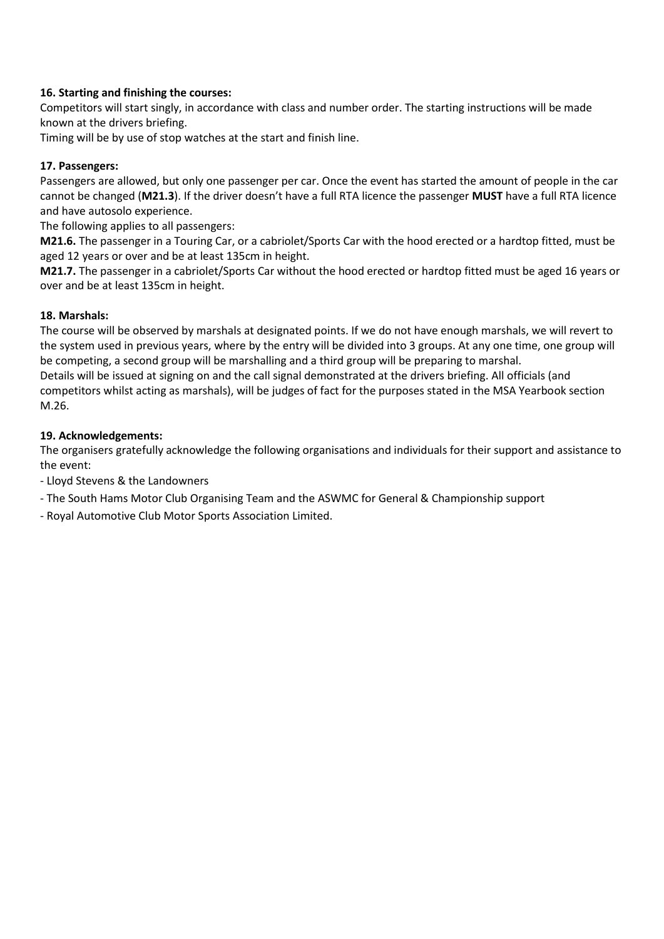## **16. Starting and finishing the courses:**

Competitors will start singly, in accordance with class and number order. The starting instructions will be made known at the drivers briefing.

Timing will be by use of stop watches at the start and finish line.

#### **17. Passengers:**

Passengers are allowed, but only one passenger per car. Once the event has started the amount of people in the car cannot be changed (**M21.3**). If the driver doesn't have a full RTA licence the passenger **MUST** have a full RTA licence and have autosolo experience.

The following applies to all passengers:

**M21.6.** The passenger in a Touring Car, or a cabriolet/Sports Car with the hood erected or a hardtop fitted, must be aged 12 years or over and be at least 135cm in height.

**M21.7.** The passenger in a cabriolet/Sports Car without the hood erected or hardtop fitted must be aged 16 years or over and be at least 135cm in height.

#### **18. Marshals:**

The course will be observed by marshals at designated points. If we do not have enough marshals, we will revert to the system used in previous years, where by the entry will be divided into 3 groups. At any one time, one group will be competing, a second group will be marshalling and a third group will be preparing to marshal. Details will be issued at signing on and the call signal demonstrated at the drivers briefing. All officials (and competitors whilst acting as marshals), will be judges of fact for the purposes stated in the MSA Yearbook section M.26.

#### **19. Acknowledgements:**

The organisers gratefully acknowledge the following organisations and individuals for their support and assistance to the event:

- Lloyd Stevens & the Landowners

- The South Hams Motor Club Organising Team and the ASWMC for General & Championship support
- Royal Automotive Club Motor Sports Association Limited.